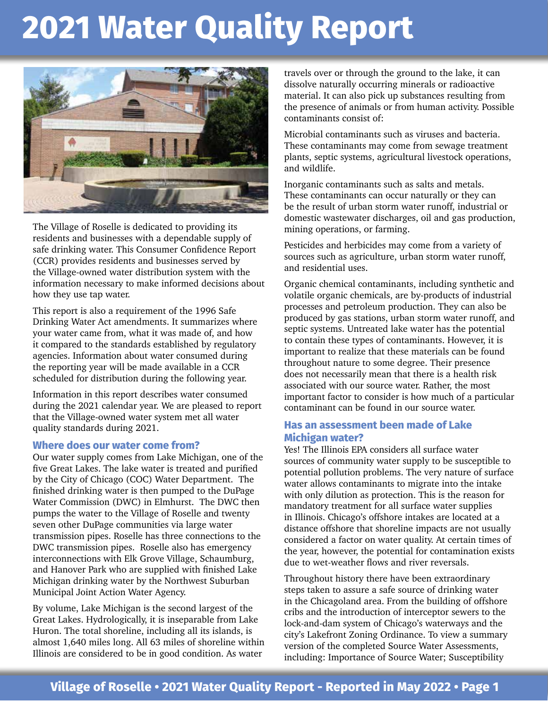

The Village of Roselle is dedicated to providing its residents and businesses with a dependable supply of safe drinking water. This Consumer Confidence Report (CCR) provides residents and businesses served by the Village-owned water distribution system with the information necessary to make informed decisions about how they use tap water.

This report is also a requirement of the 1996 Safe Drinking Water Act amendments. It summarizes where your water came from, what it was made of, and how it compared to the standards established by regulatory agencies. Information about water consumed during the reporting year will be made available in a CCR scheduled for distribution during the following year.

Information in this report describes water consumed during the 2021 calendar year. We are pleased to report that the Village-owned water system met all water quality standards during 2021.

#### **Where does our water come from?**

Our water supply comes from Lake Michigan, one of the five Great Lakes. The lake water is treated and purified by the City of Chicago (COC) Water Department. The finished drinking water is then pumped to the DuPage Water Commission (DWC) in Elmhurst. The DWC then pumps the water to the Village of Roselle and twenty seven other DuPage communities via large water transmission pipes. Roselle has three connections to the DWC transmission pipes. Roselle also has emergency interconnections with Elk Grove Village, Schaumburg, and Hanover Park who are supplied with finished Lake Michigan drinking water by the Northwest Suburban Municipal Joint Action Water Agency.

By volume, Lake Michigan is the second largest of the Great Lakes. Hydrologically, it is inseparable from Lake Huron. The total shoreline, including all its islands, is almost 1,640 miles long. All 63 miles of shoreline within Illinois are considered to be in good condition. As water

travels over or through the ground to the lake, it can dissolve naturally occurring minerals or radioactive material. It can also pick up substances resulting from the presence of animals or from human activity. Possible contaminants consist of:

Microbial contaminants such as viruses and bacteria. These contaminants may come from sewage treatment plants, septic systems, agricultural livestock operations, and wildlife.

Inorganic contaminants such as salts and metals. These contaminants can occur naturally or they can be the result of urban storm water runoff, industrial or domestic wastewater discharges, oil and gas production, mining operations, or farming.

Pesticides and herbicides may come from a variety of sources such as agriculture, urban storm water runoff, and residential uses.

Organic chemical contaminants, including synthetic and volatile organic chemicals, are by-products of industrial processes and petroleum production. They can also be produced by gas stations, urban storm water runoff, and septic systems. Untreated lake water has the potential to contain these types of contaminants. However, it is important to realize that these materials can be found throughout nature to some degree. Their presence does not necessarily mean that there is a health risk associated with our source water. Rather, the most important factor to consider is how much of a particular contaminant can be found in our source water.

#### **Has an assessment been made of Lake Michigan water?**

Yes! The Illinois EPA considers all surface water sources of community water supply to be susceptible to potential pollution problems. The very nature of surface water allows contaminants to migrate into the intake with only dilution as protection. This is the reason for mandatory treatment for all surface water supplies in Illinois. Chicago's offshore intakes are located at a distance offshore that shoreline impacts are not usually considered a factor on water quality. At certain times of the year, however, the potential for contamination exists due to wet-weather flows and river reversals.

Throughout history there have been extraordinary steps taken to assure a safe source of drinking water in the Chicagoland area. From the building of offshore cribs and the introduction of interceptor sewers to the lock-and-dam system of Chicago's waterways and the city's Lakefront Zoning Ordinance. To view a summary version of the completed Source Water Assessments, including: Importance of Source Water; Susceptibility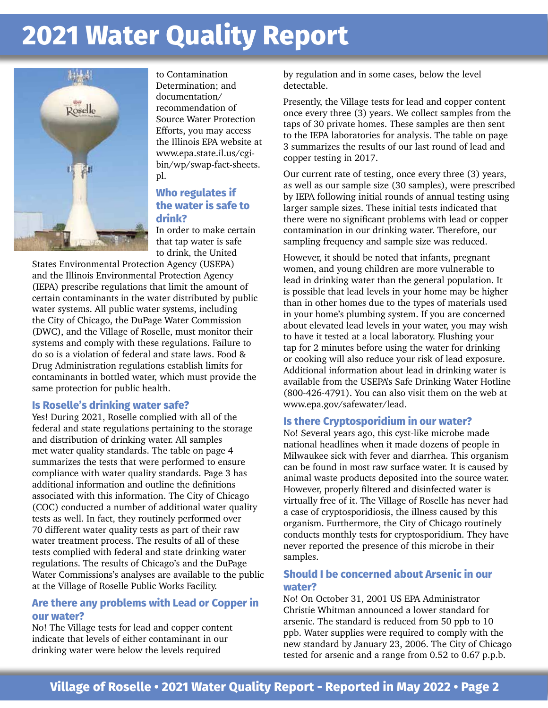

to Contamination Determination; and documentation/ recommendation of Source Water Protection Efforts, you may access the Illinois EPA website at www.epa.state.il.us/cgibin/wp/swap-fact-sheets. pl.

#### **Who regulates if the water is safe to drink?**

In order to make certain that tap water is safe to drink, the United

States Environmental Protection Agency (USEPA) and the Illinois Environmental Protection Agency (IEPA) prescribe regulations that limit the amount of certain contaminants in the water distributed by public water systems. All public water systems, including the City of Chicago, the DuPage Water Commission (DWC), and the Village of Roselle, must monitor their systems and comply with these regulations. Failure to do so is a violation of federal and state laws. Food & Drug Administration regulations establish limits for contaminants in bottled water, which must provide the same protection for public health.

#### **Is Roselle's drinking water safe?**

Yes! During 2021, Roselle complied with all of the federal and state regulations pertaining to the storage and distribution of drinking water. All samples met water quality standards. The table on page 4 summarizes the tests that were performed to ensure compliance with water quality standards. Page 3 has additional information and outline the definitions associated with this information. The City of Chicago (COC) conducted a number of additional water quality tests as well. In fact, they routinely performed over 70 different water quality tests as part of their raw water treatment process. The results of all of these tests complied with federal and state drinking water regulations. The results of Chicago's and the DuPage Water Commissions's analyses are available to the public at the Village of Roselle Public Works Facility.

#### **Are there any problems with Lead or Copper in our water?**

No! The Village tests for lead and copper content indicate that levels of either contaminant in our drinking water were below the levels required

by regulation and in some cases, below the level detectable.

Presently, the Village tests for lead and copper content once every three (3) years. We collect samples from the taps of 30 private homes. These samples are then sent to the IEPA laboratories for analysis. The table on page 3 summarizes the results of our last round of lead and copper testing in 2017.

Our current rate of testing, once every three (3) years, as well as our sample size (30 samples), were prescribed by IEPA following initial rounds of annual testing using larger sample sizes. These initial tests indicated that there were no significant problems with lead or copper contamination in our drinking water. Therefore, our sampling frequency and sample size was reduced.

However, it should be noted that infants, pregnant women, and young children are more vulnerable to lead in drinking water than the general population. It is possible that lead levels in your home may be higher than in other homes due to the types of materials used in your home's plumbing system. If you are concerned about elevated lead levels in your water, you may wish to have it tested at a local laboratory. Flushing your tap for 2 minutes before using the water for drinking or cooking will also reduce your risk of lead exposure. Additional information about lead in drinking water is available from the USEPA's Safe Drinking Water Hotline (800-426-4791). You can also visit them on the web at www.epa.gov/safewater/lead.

#### **Is there Cryptosporidium in our water?**

No! Several years ago, this cyst-like microbe made national headlines when it made dozens of people in Milwaukee sick with fever and diarrhea. This organism can be found in most raw surface water. It is caused by animal waste products deposited into the source water. However, properly filtered and disinfected water is virtually free of it. The Village of Roselle has never had a case of cryptosporidiosis, the illness caused by this organism. Furthermore, the City of Chicago routinely conducts monthly tests for cryptosporidium. They have never reported the presence of this microbe in their samples.

#### **Should I be concerned about Arsenic in our water?**

No! On October 31, 2001 US EPA Administrator Christie Whitman announced a lower standard for arsenic. The standard is reduced from 50 ppb to 10 ppb. Water supplies were required to comply with the new standard by January 23, 2006. The City of Chicago tested for arsenic and a range from 0.52 to 0.67 p.p.b.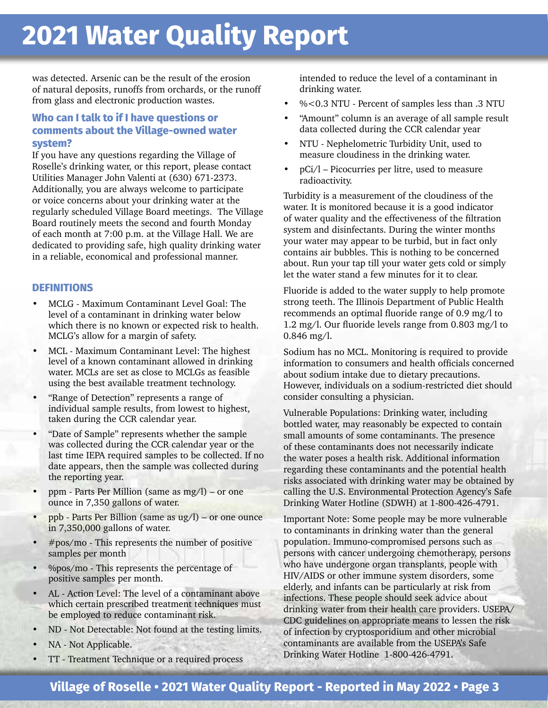was detected. Arsenic can be the result of the erosion of natural deposits, runoffs from orchards, or the runoff from glass and electronic production wastes.

#### **Who can I talk to if I have questions or comments about the Village-owned water system?**

If you have any questions regarding the Village of Roselle's drinking water, or this report, please contact Utilities Manager John Valenti at (630) 671-2373. Additionally, you are always welcome to participate or voice concerns about your drinking water at the regularly scheduled Village Board meetings. The Village Board routinely meets the second and fourth Monday of each month at 7:00 p.m. at the Village Hall. We are dedicated to providing safe, high quality drinking water in a reliable, economical and professional manner.

#### **DEFINITIONS**

- MCLG Maximum Contaminant Level Goal: The level of a contaminant in drinking water below which there is no known or expected risk to health. MCLG's allow for a margin of safety.
- MCL Maximum Contaminant Level: The highest level of a known contaminant allowed in drinking water. MCLs are set as close to MCLGs as feasible using the best available treatment technology.
- "Range of Detection" represents a range of individual sample results, from lowest to highest, taken during the CCR calendar year.
- "Date of Sample" represents whether the sample was collected during the CCR calendar year or the last time IEPA required samples to be collected. If no date appears, then the sample was collected during the reporting year.
- ppm Parts Per Million (same as mg/l) or one ounce in 7,350 gallons of water.
- ppb Parts Per Billion (same as ug/l) or one ounce in 7,350,000 gallons of water.
- $#pos/mol$  This represents the number of positive samples per month
- %pos/mo This represents the percentage of positive samples per month.
- AL Action Level: The level of a contaminant above which certain prescribed treatment techniques must be employed to reduce contaminant risk.
- ND Not Detectable: Not found at the testing limits.
- NA Not Applicable.
- TT Treatment Technique or a required process

intended to reduce the level of a contaminant in drinking water.

- %<0.3 NTU Percent of samples less than .3 NTU
- "Amount" column is an average of all sample result data collected during the CCR calendar year
- NTU Nephelometric Turbidity Unit, used to measure cloudiness in the drinking water.
- pCi/l Picocurries per litre, used to measure radioactivity.

Turbidity is a measurement of the cloudiness of the water. It is monitored because it is a good indicator of water quality and the effectiveness of the filtration system and disinfectants. During the winter months your water may appear to be turbid, but in fact only contains air bubbles. This is nothing to be concerned about. Run your tap till your water gets cold or simply let the water stand a few minutes for it to clear.

Fluoride is added to the water supply to help promote strong teeth. The Illinois Department of Public Health recommends an optimal fluoride range of 0.9 mg/l to 1.2 mg/l. Our fluoride levels range from 0.803 mg/l to 0.846 mg/l.

Sodium has no MCL. Monitoring is required to provide information to consumers and health officials concerned about sodium intake due to dietary precautions. However, individuals on a sodium-restricted diet should consider consulting a physician.

Vulnerable Populations: Drinking water, including bottled water, may reasonably be expected to contain small amounts of some contaminants. The presence of these contaminants does not necessarily indicate the water poses a health risk. Additional information regarding these contaminants and the potential health risks associated with drinking water may be obtained by calling the U.S. Environmental Protection Agency's Safe Drinking Water Hotline (SDWH) at 1-800-426-4791.

Important Note: Some people may be more vulnerable to contaminants in drinking water than the general population. Immuno-compromised persons such as persons with cancer undergoing chemotherapy, persons who have undergone organ transplants, people with HIV/AIDS or other immune system disorders, some elderly, and infants can be particularly at risk from infections. These people should seek advice about drinking water from their health care providers. USEPA/ CDC guidelines on appropriate means to lessen the risk of infection by cryptosporidium and other microbial contaminants are available from the USEPA's Safe Drinking Water Hotline 1-800-426-4791.

### **Village of Roselle • 2021 Water Quality Report - Reported in May 2022 • Page 3**